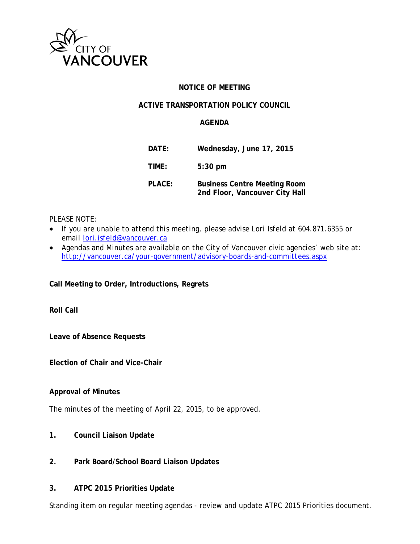

### **NOTICE OF MEETING**

#### **ACTIVE TRANSPORTATION POLICY COUNCIL**

#### **AGENDA**

| DATE:  | Wednesday, June 17, 2015                                              |
|--------|-----------------------------------------------------------------------|
| TIME:  | $5:30$ pm                                                             |
| PLACE: | <b>Business Centre Meeting Room</b><br>2nd Floor, Vancouver City Hall |

*PLEASE NOTE:*

- *If you are unable to attend this meeting, please advise Lori Isfeld at 604.871.6355 or email [lori.isfeld@vancouver.ca](mailto:lori.isfeld@vancouver.ca)*
- *Agendas and Minutes are available on the City of Vancouver civic agencies' web site at: <http://vancouver.ca/your-government/advisory-boards-and-committees.aspx>*

**Call Meeting to Order, Introductions, Regrets**

**Roll Call** 

**Leave of Absence Requests**

**Election of Chair and Vice-Chair** 

#### **Approval of Minutes**

The minutes of the meeting of April 22, 2015, to be approved.

- **1. Council Liaison Update**
- **2. Park Board/School Board Liaison Updates**
- **3. ATPC 2015 Priorities Update**

Standing item on regular meeting agendas - review and update ATPC 2015 Priorities document.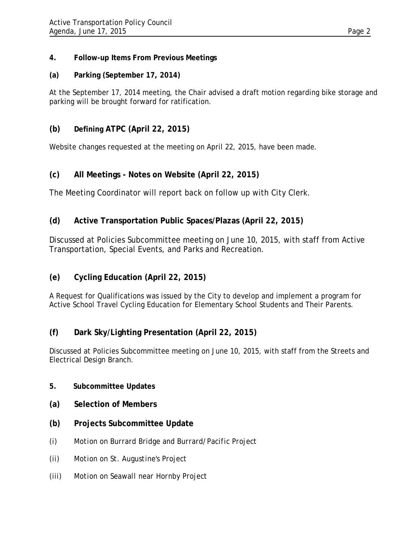### **4. Follow-up Items From Previous Meetings**

### **(a) Parking (September 17, 2014)**

At the September 17, 2014 meeting, the Chair advised a draft motion regarding bike storage and parking will be brought forward for ratification.

## **(b) Defining ATPC (April 22, 2015)**

Website changes requested at the meeting on April 22, 2015, have been made.

## **(c) All Meetings - Notes on Website (April 22, 2015)**

The Meeting Coordinator will report back on follow up with City Clerk.

## **(d) Active Transportation Public Spaces/Plazas (April 22, 2015)**

Discussed at Policies Subcommittee meeting on June 10, 2015, with staff from Active Transportation, Special Events, and Parks and Recreation.

# **(e) Cycling Education (April 22, 2015)**

A Request for Qualifications was issued by the City to develop and implement a program for Active School Travel Cycling Education for Elementary School Students and Their Parents.

### **(f) Dark Sky/Lighting Presentation (April 22, 2015)**

Discussed at Policies Subcommittee meeting on June 10, 2015, with staff from the Streets and Electrical Design Branch.

#### **5. Subcommittee Updates**

- **(a) Selection of Members**
- **(b) Projects Subcommittee Update**
- *(i) Motion on Burrard Bridge and Burrard/Pacific Project*
- *(ii) Motion on St. Augustine's Project*
- *(iii) Motion on Seawall near Hornby Project*